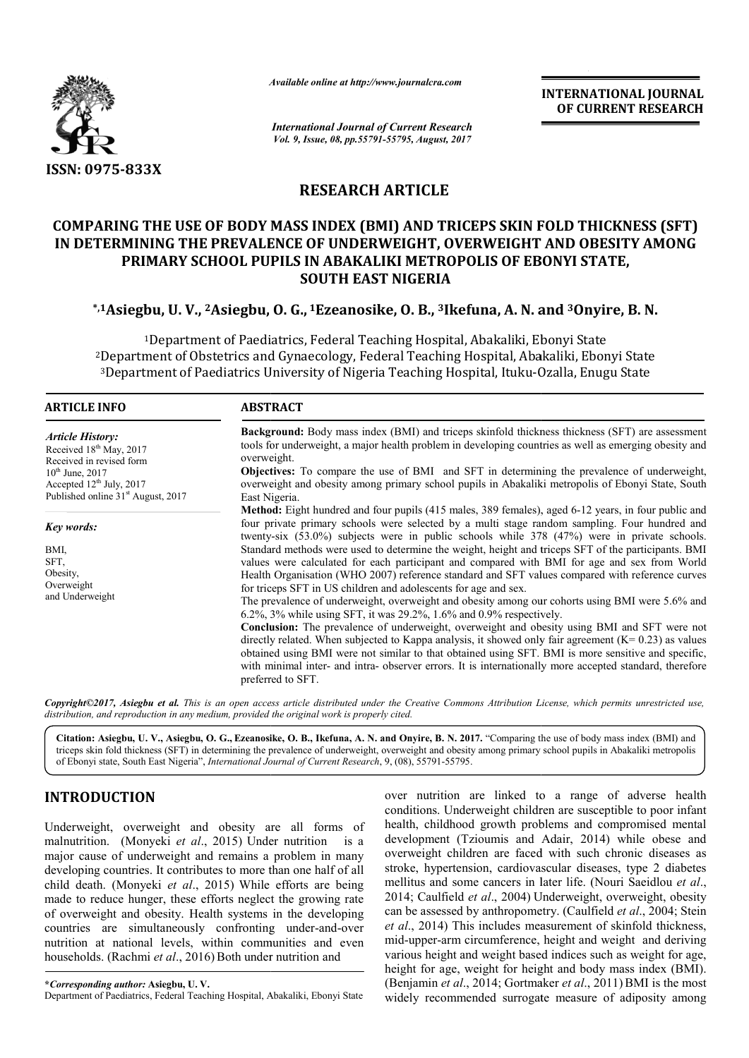

*Available o online at http://www.journalcra.com*

*International Journal of Current Research Vol. 9, Issue, 08, pp.55791-55795, August, 2017* **INTERNATIONAL JOURNAL OF CURRENT RESEARCH** 

# **RESEARCH ARTICLE**

#### **COMPARING THE USE OF BODY MASS INDEX (BMI) AND TRICEPS SKIN FOLD THICKNESS (SFT) IN DETERMINING THE PREVALENCE OF UNDERWEIGHT, OVERWEIGHT AND OBESITY AMONG PRIMARY SCHOOL PUPILS IN ABAKALIKI METROPOLIS OF EBONYI STAT SOUTH EAST NIGERIA** COMPARING THE USE OF BODY MASS INDEX (BMI) AND TRICEPS SKIN FOLD THICKN<br>IN DETERMINING THE PREVALENCE OF UNDERWEIGHT, OVERWEIGHT AND OBESIT<br>PRIMARY SCHOOL PUPILS IN ABAKALIKI METROPOLIS OF EBONYI STATE,

## **\*,1Asiegbu, U. V., 2Asiegbu, O. G., 1Ezeanosike, O. B., 3Ikefuna, A. N. and and 3Onyire, B. N.**

<sup>1</sup>Department of Paediatrics, Federal Teaching Hospital, Abakaliki, Ebonyi State <sup>2</sup>Department of Obstetrics and Gynaecology, Federal Teaching Hospital, Abakaliki, Ebonyi State <sup>1</sup>Department of Paediatrics, Federal Teaching Hospital, Abakaliki, Ebonyi State<br>Department of Obstetrics and Gynaecology, Federal Teaching Hospital, Abakaliki, Ebonyi Stat<br>3Department of Paediatrics University of Nigeria

## **ARTICLE INFO ABSTRACT**

*Article History:* Received 18<sup>th</sup> May, 2017 Received in revised form  $10^{th}$  June,  $2017$ Accepted 12<sup>th</sup> July, 2017 Published online 31<sup>st</sup> August, 2017

*Key words:*

BMI, SFT, Obesity, Overweight and Underweight

**Background:** Body mass index (BMI) and triceps skinfold thickness thickness (SFT) are assessment tools for underweight, a major health problem in developing countries as well as emerging obesity and overweight.

**Objectives:** To compare the use of BMI and SFT in determining the prevalence of underweight, overweight and obesity among primary school pupils in Abakaliki metropolis of Ebonyi State, South East Nigeria. tools for underweight, a major health problem in developing countries as well as emerging obesity and<br>overweight.<br>**Objectives:** To compare the use of BMI and SFT in determining the prevalence of underweight,<br>overweight and

**Method:** Eight hundred and four pupils (415 males, 389 females), aged 6 four private primary schools were selected by a multi stage random sampling. Four hundred and twenty twenty-six (53.0%) subjects were in public schools while 378 (47%) were in private schools. Standard methods were used to determine the weight, height and triceps SFT of the participants. BMI values were calculated for each participant and compared with BMI for age and sex from World Health Organisation (WHO 2007) reference standard and SFT values compared with reference curves for triceps SFT in US children and adolescents for age and sex. twenty-six (53.0%) subjects were in public schools while 378 (47%) were in private schools.<br>Standard methods were used to determine the weight, height and triceps SFT of the participants. BMI<br>values were calculated for eac

The prevalence of underweight, overweight and obesity among our cohorts using BMI were 5.6% and  $6.2\%$ ,  $3\%$  while using SFT, it was  $29.2\%$ ,  $1.6\%$  and  $0.9\%$  respectively.

**Conclusion:** The prevalence of underweight, overweight and obesity using BMI and SFT were not directly related. When subjected to Kappa analysis, it showed only fair agreement  $(K= 0.23)$  as values obtained using BMI were not similar to that obtained using SFT. BMI is more sensitive and specific, with minimal inter- and intra- observer errors. It is internationally more accepted standard, therefore preferred to SFT.

Copyright©2017, Asiegbu et al. This is an open access article distributed under the Creative Commons Attribution License, which permits unrestricted use, *distribution, and reproduction in any medium, provided the original work is properly cited.*

**Citation: Asiegbu, U. V., Asiegbu, O. G., Ezeanosike, O. B., Ikefuna, A. N. and Onyire, B. N. 2017.** "Comparing the use of body mass index (BMI) and Citation: Asiegbu, U.V., Asiegbu, O.G., Ezeanosike, O.B., Ikefuna, A.N. and Onyire, B.N. 2017. "Comparing the use of body mass index (BMI) and triceps skin fold thickness (SFT) in determining the prevalence of underweight, of Ebonyi state, South East Nigeria", *International Journal of Current Research* , 9, (08), 55791-55795.

## **INTRODUCTION**

Underweight, overweight and obesity are all forms of malnutrition. (Monyeki *et al*., 2015) Under nutrition is a major cause of underweight and remains a problem in many developing countries. It contributes to more than one half of all child death. (Monyeki *et al*., 2015) While efforts are being made to reduce hunger, these efforts neglect the growing rate of overweight and obesity. Health systems in the developing countries are simultaneously confronting under-and-over nutrition at national levels, within communities and even nutrition at national levels, within communities and  $\epsilon$  households. (Rachmi *et al.*, 2016) Both under nutrition and

over nutrition are linked to a range of adverse health conditions. Underweight children are susceptible to poor infant health, childhood growth problems and compromised mental development (Tzioumis and Adair, 2014) while obese and overweight children are faced with such chronic diseases as overweight children are faced with such chronic diseases as stroke, hypertension, cardiovascular diseases, type 2 diabetes mellitus and some cancers in later life. (Nouri Saeidlou *et al*., 2014; Caulfield *et al*., 2004) Underweight, overweight, obesity can be assessed by anthropometry. (Caulfield *et al.*, 2004; Stein *et al*., 2014) This includes measurement of skinfold thickness, mid-upper-arm circumference, height and weight and deriving various height and weight based indices such as weight for age, *et al.*, 2014) This includes measurement of skinfold thickness, mid-upper-arm circumference, height and weight and deriving various height and weight based indices such as weight for age, height for age, weight for height (Benjamin et al., 2014; Gortmaker et al., 2011) BMI is the most widely recommended surrogate measure of adiposity among children are susceptible to poor infant<br>n problems and compromised mental<br>and Adair, 2014) while obese and INTERNATIONAL JOURNAL<br>
OF CURRENT RESEARCH<br>
OF CURRENT RESEARCH<br>
SIGHT AND OBESITY AMONG<br>
OF EBONYI STATE,<br>
A. N. and <sup>3</sup>Onyire, B. N.<br>
aliki, Ebonyi State<br>
al. Abakaliki, Ebonyi State<br>
al. Abakaliki, Ebonyi State<br>
al. Aba

**<sup>\*</sup>***Corresponding author:* **Asiegbu, U. V.** Department of Paediatrics, Federal Teaching Hospital, Abakali Abakaliki, Ebonyi State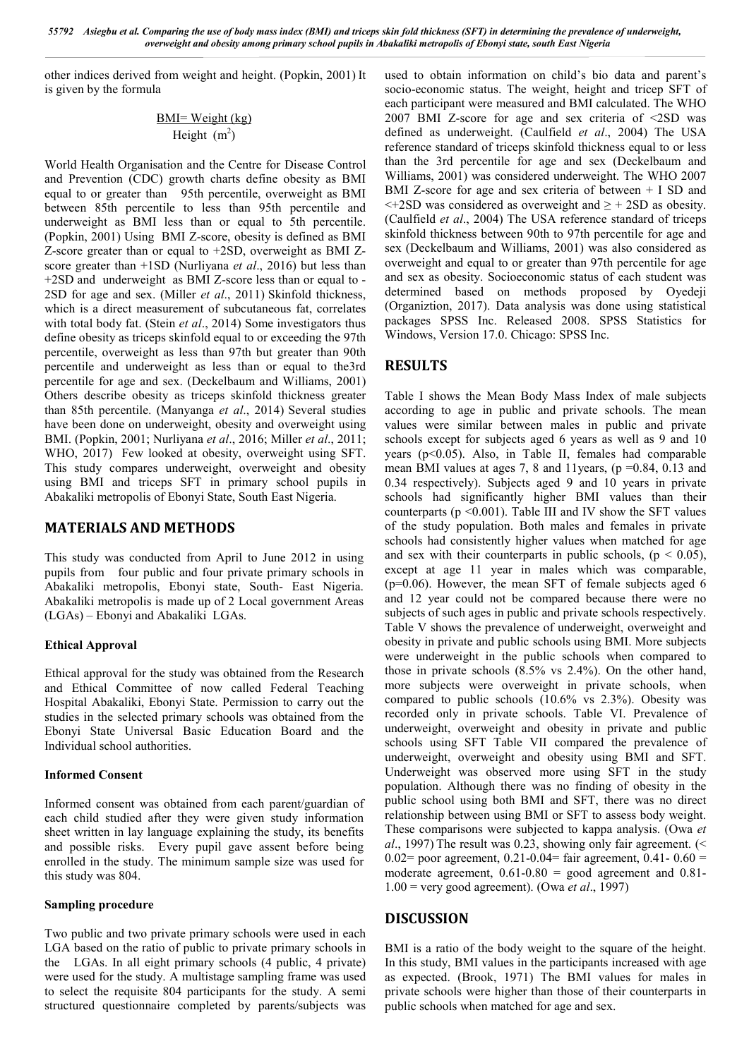*55792 Asiegbu et al. Comparing the use of body mass index (BMI) and triceps skin fold thickness (SFT) in determining the prevalence of underweight, overweight and obesity among primary school pupils in Abakaliki metropolis of Ebonyi state, south East Nigeria*

other indices derived from weight and height. (Popkin, 2001) It is given by the formula

## BMI= Weight (kg) Height  $(m^2)$

World Health Organisation and the Centre for Disease Control and Prevention (CDC) growth charts define obesity as BMI equal to or greater than 95th percentile, overweight as BMI between 85th percentile to less than 95th percentile and underweight as BMI less than or equal to 5th percentile. (Popkin, 2001) Using BMI Z-score, obesity is defined as BMI Z-score greater than or equal to +2SD, overweight as BMI Zscore greater than +1SD (Nurliyana *et al*., 2016) but less than +2SD and underweight as BMI Z-score less than or equal to - 2SD for age and sex. (Miller *et al*., 2011) Skinfold thickness, which is a direct measurement of subcutaneous fat, correlates with total body fat. (Stein *et al*., 2014) Some investigators thus define obesity as triceps skinfold equal to or exceeding the 97th percentile, overweight as less than 97th but greater than 90th percentile and underweight as less than or equal to the3rd percentile for age and sex. (Deckelbaum and Williams, 2001) Others describe obesity as triceps skinfold thickness greater than 85th percentile. (Manyanga *et al*., 2014) Several studies have been done on underweight, obesity and overweight using BMI. (Popkin, 2001; Nurliyana *et al*., 2016; Miller *et al*., 2011; WHO, 2017) Few looked at obesity, overweight using SFT. This study compares underweight, overweight and obesity using BMI and triceps SFT in primary school pupils in Abakaliki metropolis of Ebonyi State, South East Nigeria.

## **MATERIALS AND METHODS**

This study was conducted from April to June 2012 in using pupils from four public and four private primary schools in Abakaliki metropolis, Ebonyi state, South- East Nigeria. Abakaliki metropolis is made up of 2 Local government Areas (LGAs) – Ebonyi and Abakaliki LGAs.

### **Ethical Approval**

Ethical approval for the study was obtained from the Research and Ethical Committee of now called Federal Teaching Hospital Abakaliki, Ebonyi State. Permission to carry out the studies in the selected primary schools was obtained from the Ebonyi State Universal Basic Education Board and the Individual school authorities.

#### **Informed Consent**

Informed consent was obtained from each parent/guardian of each child studied after they were given study information sheet written in lay language explaining the study, its benefits and possible risks. Every pupil gave assent before being enrolled in the study. The minimum sample size was used for this study was 804.

#### **Sampling procedure**

Two public and two private primary schools were used in each LGA based on the ratio of public to private primary schools in the LGAs. In all eight primary schools (4 public, 4 private) were used for the study. A multistage sampling frame was used to select the requisite 804 participants for the study. A semi structured questionnaire completed by parents/subjects was

used to obtain information on child's bio data and parent's socio-economic status. The weight, height and tricep SFT of each participant were measured and BMI calculated. The WHO 2007 BMI Z-score for age and sex criteria of <2SD was defined as underweight. (Caulfield *et al*., 2004) The USA reference standard of triceps skinfold thickness equal to or less than the 3rd percentile for age and sex (Deckelbaum and Williams, 2001) was considered underweight. The WHO 2007 BMI Z-score for age and sex criteria of between + I SD and  $\leq$ +2SD was considered as overweight and  $\geq$  + 2SD as obesity. (Caulfield *et al*., 2004) The USA reference standard of triceps skinfold thickness between 90th to 97th percentile for age and sex (Deckelbaum and Williams, 2001) was also considered as overweight and equal to or greater than 97th percentile for age and sex as obesity. Socioeconomic status of each student was determined based on methods proposed by Oyedeji (Organiztion, 2017). Data analysis was done using statistical packages SPSS Inc. Released 2008. SPSS Statistics for Windows, Version 17.0. Chicago: SPSS Inc.

## **RESULTS**

Table I shows the Mean Body Mass Index of male subjects according to age in public and private schools. The mean values were similar between males in public and private schools except for subjects aged 6 years as well as 9 and 10 years (p<0.05). Also, in Table II, females had comparable mean BMI values at ages 7, 8 and 11 years,  $(p=0.84, 0.13,$  and 0.34 respectively). Subjects aged 9 and 10 years in private schools had significantly higher BMI values than their counterparts ( $p \le 0.001$ ). Table III and IV show the SFT values of the study population. Both males and females in private schools had consistently higher values when matched for age and sex with their counterparts in public schools,  $(p < 0.05)$ , except at age 11 year in males which was comparable,  $(p=0.06)$ . However, the mean SFT of female subjects aged 6 and 12 year could not be compared because there were no subjects of such ages in public and private schools respectively. Table V shows the prevalence of underweight, overweight and obesity in private and public schools using BMI. More subjects were underweight in the public schools when compared to those in private schools (8.5% vs 2.4%). On the other hand, more subjects were overweight in private schools, when compared to public schools (10.6% vs 2.3%). Obesity was recorded only in private schools. Table VI. Prevalence of underweight, overweight and obesity in private and public schools using SFT Table VII compared the prevalence of underweight, overweight and obesity using BMI and SFT. Underweight was observed more using SFT in the study population. Although there was no finding of obesity in the public school using both BMI and SFT, there was no direct relationship between using BMI or SFT to assess body weight. These comparisons were subjected to kappa analysis. (Owa *et al*., 1997) The result was 0.23, showing only fair agreement. (< 0.02= poor agreement, 0.21-0.04= fair agreement, 0.41- 0.60 = moderate agreement,  $0.61 - 0.80 =$  good agreement and  $0.81$ -1.00 = very good agreement). (Owa *et al*., 1997)

## **DISCUSSION**

BMI is a ratio of the body weight to the square of the height. In this study, BMI values in the participants increased with age as expected. (Brook, 1971) The BMI values for males in private schools were higher than those of their counterparts in public schools when matched for age and sex.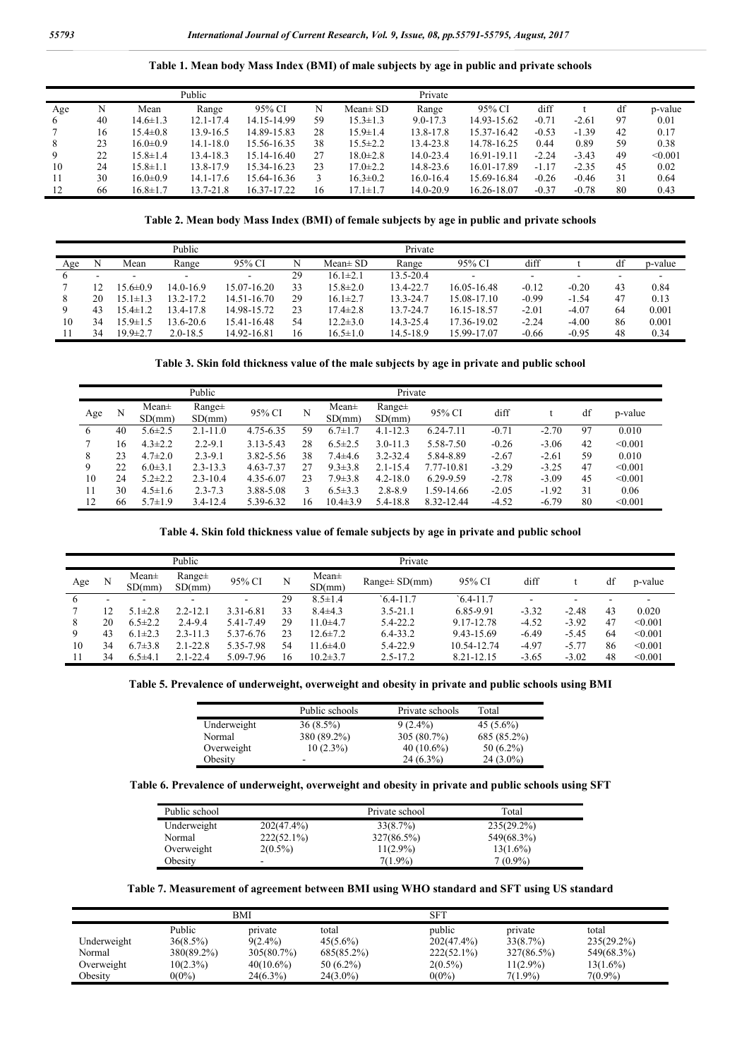| Table 1. Mean body Mass Index (BMI) of male subjects by age in public and private schools |  |  |  |  |  |  |
|-------------------------------------------------------------------------------------------|--|--|--|--|--|--|
|-------------------------------------------------------------------------------------------|--|--|--|--|--|--|

|     |    |                | Public        |             |    |                | Private      |             |         |         |    |         |
|-----|----|----------------|---------------|-------------|----|----------------|--------------|-------------|---------|---------|----|---------|
| Age | N  | Mean           | Range         | 95% CI      | N  | $Mean \pm SD$  | Range        | 95% CI      | diff    |         | df | p-value |
| 6   | 40 | $14.6 \pm 1.3$ | $12.1 - 17.4$ | 14.15-14.99 | 59 | $15.3 \pm 1.3$ | $9.0 - 17.3$ | 14.93-15.62 | $-0.71$ | $-2.61$ | 97 | 0.01    |
|     | 16 | $15.4 \pm 0.8$ | 13.9-16.5     | 14.89-15.83 | 28 | $15.9 \pm 1.4$ | 13.8-17.8    | 15.37-16.42 | $-0.53$ | $-1.39$ | 42 | 0.17    |
|     | 23 | $16.0 \pm 0.9$ | $14.1 - 18.0$ | 15.56-16.35 | 38 | $15.5 \pm 2.2$ | 13.4-23.8    | 14.78-16.25 | 0.44    | 0.89    | 59 | 0.38    |
|     | 22 | $15.8 \pm 1.4$ | 13.4-18.3     | 15.14-16.40 | 27 | $18.0 \pm 2.8$ | 14.0-23.4    | 16.91-19.11 | $-2.24$ | $-3.43$ | 49 | < 0.001 |
| 10  | 24 | $15.8 \pm 1.1$ | 13.8-17.9     | 15.34-16.23 | 23 | $17.0 \pm 2.2$ | 14.8-23.6    | 16.01-17.89 | $-1.17$ | $-2.35$ | 45 | 0.02    |
|     | 30 | 16.0±0.9       | 14.1-17.6     | 15.64-16.36 |    | $16.3 \pm 0.2$ | 16.0-16.4    | 15.69-16.84 | $-0.26$ | $-0.46$ | 31 | 0.64    |
| 12  | 66 | $16.8 \pm 1.7$ | 13.7-21.8     | 16.37-17.22 | 16 | $17.1 \pm 1.7$ | 14.0-20.9    | 16.26-18.07 | $-0.37$ | $-0.78$ | 80 | 0.43    |

#### **Table 2. Mean body Mass Index (BMI) of female subjects by age in public and private schools**

| Public  |    |                |                          |             |    |                |           |                          |                          |         |    |         |
|---------|----|----------------|--------------------------|-------------|----|----------------|-----------|--------------------------|--------------------------|---------|----|---------|
| Age     | N  | Mean           | Range                    | 95% CI      |    | $Mean \pm SD$  | Range     | 95% CI                   | diff                     |         | df | p-value |
| $\circ$ |    | -              | $\overline{\phantom{0}}$ | -           | 29 | $16.1 \pm 2.1$ | 13.5-20.4 | $\overline{\phantom{a}}$ | $\overline{\phantom{a}}$ | -       | -  | -       |
|         |    | $15.6 \pm 0.9$ | 14.0-16.9                | 15.07-16.20 | 33 | $15.8 \pm 2.0$ | 13.4-22.7 | 16.05-16.48              | $-0.12$                  | $-0.20$ | 43 | 0.84    |
| 8       | 20 | $15.1 \pm 1.3$ | 13.2-17.2                | 14.51-16.70 | 29 | $16.1 \pm 2.7$ | 13.3-24.7 | 15.08-17.10              | $-0.99$                  | $-1.54$ | 47 | 0.13    |
| 9       | 43 | $15.4 \pm 1.2$ | 13.4-17.8                | 14.98-15.72 | 23 | 17.4±2.8       | 13.7-24.7 | 16.15-18.57              | $-2.01$                  | $-4.07$ | 64 | 0.001   |
| 10      | 34 | $15.9 \pm 1.5$ | 13.6-20.6                | 15.41-16.48 | 54 | $12.2 \pm 3.0$ | 14.3-25.4 | 17.36-19.02              | $-2.24$                  | $-4.00$ | 86 | 0.001   |
|         | 34 | $19.9 \pm 2.7$ | $2.0 - 18.5$             | 14.92-16.81 | 16 | $16.5 \pm 1.0$ | 14.5-18.9 | 15.99-17.07              | $-0.66$                  | $-0.95$ | 48 | 0.34    |

#### **Table 3. Skin fold thickness value of the male subjects by age in private and public school**

|     |    |                     | Public                |           |    |                     | Private               |            |         |         |    |         |
|-----|----|---------------------|-----------------------|-----------|----|---------------------|-----------------------|------------|---------|---------|----|---------|
| Age | N  | $Mean\pm$<br>SD(mm) | Range $\pm$<br>SD(mm) | 95% CI    | N  | $Mean\pm$<br>SD(mm) | Range $\pm$<br>SD(mm) | 95% CI     | diff    |         | df | p-value |
| 6   | 40 | $5.6 \pm 2.5$       | $2.1 - 11.0$          | 4.75-6.35 | 59 | $6.7 \pm 1.7$       | $4.1 - 12.3$          | 6.24-7.11  | $-0.71$ | $-2.70$ | 97 | 0.010   |
|     | 16 | $4.3 \pm 2.2$       | $2.2 - 9.1$           | 3.13-5.43 | 28 | $6.5 \pm 2.5$       | $3.0 - 11.3$          | 5.58-7.50  | $-0.26$ | $-3.06$ | 42 | < 0.001 |
| 8   | 23 | $4.7 \pm 2.0$       | $2.3 - 9.1$           | 3.82-5.56 | 38 | $7.4 \pm 4.6$       | $3.2 - 32.4$          | 5.84-8.89  | $-2.67$ | $-2.61$ | 59 | 0.010   |
| 9   | 22 | $6.0 \pm 3.1$       | $2.3 - 13.3$          | 4.63-7.37 | 27 | $9.3 \pm 3.8$       | $2.1 - 15.4$          | 7.77-10.81 | $-3.29$ | $-3.25$ | 47 | < 0.001 |
| 10  | 24 | $5.2 \pm 2.2$       | $2.3 - 10.4$          | 4.35-6.07 | 23 | $7.9 \pm 3.8$       | $4.2 - 18.0$          | 6.29-9.59  | $-2.78$ | $-3.09$ | 45 | < 0.001 |
| 11  | 30 | $4.5 \pm 1.6$       | $2.3 - 7.3$           | 3.88-5.08 | 3  | $6.5 \pm 3.3$       | $2.8 - 8.9$           | 1.59-14.66 | $-2.05$ | $-1.92$ | 31 | 0.06    |
| 12  | 66 | $5.7 \pm 1.9$       | $3.4 - 12.4$          | 5.39-6.32 | 16 | $10.4 \pm 3.9$      | 5.4-18.8              | 8.32-12.44 | $-4.52$ | $-6.79$ | 80 | < 0.001 |

#### **Table 4. Skin fold thickness value of female subjects by age in private and public school**

|     |    |                 | Public                |           |    |                 | Private            |              |         |         |    |         |
|-----|----|-----------------|-----------------------|-----------|----|-----------------|--------------------|--------------|---------|---------|----|---------|
| Age | N  | Mean±<br>SD(mm) | Range $\pm$<br>SD(mm) | 95% CI    | N  | Mean±<br>SD(mm) | $Range \pm SD(mm)$ | 95% CI       | diff    |         | df | p-value |
| 6   | -  |                 | -                     | ۰         | 29 | $8.5 \pm 1.4$   | $6.4 - 11.7$       | $6.4 - 11.7$ |         | -       |    | -       |
|     | 12 | $5.1 \pm 2.8$   | $2.2 - 12.1$          | 3.31-6.81 | 33 | $8.4\pm4.3$     | $3.5 - 21.1$       | 6.85-9.91    | $-3.32$ | $-2.48$ | 43 | 0.020   |
| 8   | 20 | $6.5 \pm 2.2$   | $2.4 - 9.4$           | 5.41-7.49 | 29 | 11.0±4.7        | 5.4-22.2           | 9.17-12.78   | $-4.52$ | $-3.92$ | 47 | < 0.001 |
| Q   | 43 | $6.1 \pm 2.3$   | $2.3 - 11.3$          | 5.37-6.76 | 23 | $12.6 \pm 7.2$  | 6.4-33.2           | 9.43-15.69   | $-6.49$ | $-5.45$ | 64 | < 0.001 |
| 10  | 34 | $6.7 \pm 3.8$   | $2.1 - 22.8$          | 5.35-7.98 | 54 | $11.6\pm 4.0$   | 5.4-22.9           | 10.54-12.74  | $-4.97$ | $-5.77$ | 86 | < 0.001 |
|     | 34 | $6.5{\pm}4.1$   | $2.1 - 22.4$          | 5.09-7.96 | 16 | $10.2 \pm 3.7$  | $2.5 - 17.2$       | 8.21-12.15   | $-3.65$ | $-3.02$ | 48 | < 0.001 |

**Table 5. Prevalence of underweight, overweight and obesity in private and public schools using BMI**

|             | Public schools | Private schools | Total       |
|-------------|----------------|-----------------|-------------|
| Underweight | $36(8.5\%)$    | $9(2.4\%)$      | $45(5.6\%)$ |
| Normal      | 380 (89.2%)    | 305 (80.7%)     | 685 (85.2%) |
| Overweight  | $10(2.3\%)$    | $40(10.6\%)$    | $50(6.2\%)$ |
| Obesity     | -              | $24(6.3\%)$     | $24(3.0\%)$ |

**Table 6. Prevalence of underweight, overweight and obesity in private and public schools using SFT**

| Public school |               | Private school | Total         |
|---------------|---------------|----------------|---------------|
| Underweight   | $202(47.4\%)$ | 33(8.7%)       | $235(29.2\%)$ |
| Normal        | $222(52.1\%)$ | 327(86.5%)     | 549(68.3%)    |
| Overweight    | $2(0.5\%)$    | $11(2.9\%)$    | $13(1.6\%)$   |
| Obesity       | -             | $7(1.9\%)$     | $7(0.9\%)$    |

### **Table 7. Measurement of agreement between BMI using WHO standard and SFT using US standard**

|             | BMI         | SFT          |             |               |             |               |
|-------------|-------------|--------------|-------------|---------------|-------------|---------------|
|             | Public      | private      | total       | public        | private     | total         |
| Underweight | $36(8.5\%)$ | $9(2.4\%)$   | $45(5.6\%)$ | $202(47.4\%)$ | 33(8.7%)    | $235(29.2\%)$ |
| Normal      | 380(89.2%)  | 305(80.7%)   | 685(85.2%)  | $222(52.1\%)$ | 327(86.5%)  | 549(68.3%)    |
| Overweight  | $10(2.3\%)$ | $40(10.6\%)$ | $50(6.2\%)$ | $2(0.5\%)$    | $11(2.9\%)$ | $13(1.6\%)$   |
| Obesity     | $0(0\%)$    | $24(6.3\%)$  | $24(3.0\%)$ | $0(0\%)$      | $7(1.9\%)$  | $7(0.9\%)$    |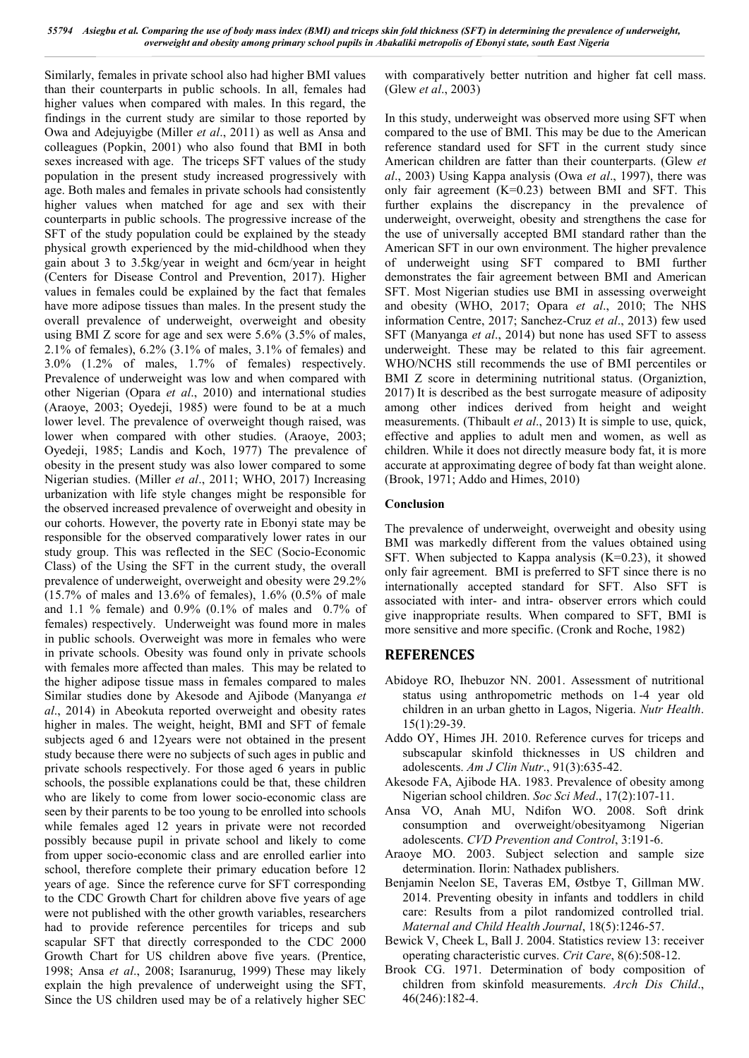Similarly, females in private school also had higher BMI values than their counterparts in public schools. In all, females had higher values when compared with males. In this regard, the findings in the current study are similar to those reported by Owa and Adejuyigbe (Miller *et al*., 2011) as well as Ansa and colleagues (Popkin, 2001) who also found that BMI in both sexes increased with age. The triceps SFT values of the study population in the present study increased progressively with age. Both males and females in private schools had consistently higher values when matched for age and sex with their counterparts in public schools. The progressive increase of the SFT of the study population could be explained by the steady physical growth experienced by the mid-childhood when they gain about 3 to 3.5kg/year in weight and 6cm/year in height (Centers for Disease Control and Prevention, 2017). Higher values in females could be explained by the fact that females have more adipose tissues than males. In the present study the overall prevalence of underweight, overweight and obesity using BMI Z score for age and sex were 5.6% (3.5% of males, 2.1% of females), 6.2% (3.1% of males, 3.1% of females) and 3.0% (1.2% of males, 1.7% of females) respectively. Prevalence of underweight was low and when compared with other Nigerian (Opara *et al*., 2010) and international studies (Araoye, 2003; Oyedeji, 1985) were found to be at a much lower level. The prevalence of overweight though raised, was lower when compared with other studies. (Araoye, 2003; Oyedeji, 1985; Landis and Koch, 1977) The prevalence of obesity in the present study was also lower compared to some Nigerian studies. (Miller *et al*., 2011; WHO, 2017) Increasing urbanization with life style changes might be responsible for the observed increased prevalence of overweight and obesity in our cohorts. However, the poverty rate in Ebonyi state may be responsible for the observed comparatively lower rates in our study group. This was reflected in the SEC (Socio-Economic Class) of the Using the SFT in the current study, the overall prevalence of underweight, overweight and obesity were 29.2% (15.7% of males and 13.6% of females), 1.6% (0.5% of male and 1.1 % female) and  $0.9\%$  (0.1% of males and 0.7% of females) respectively. Underweight was found more in males in public schools. Overweight was more in females who were in private schools. Obesity was found only in private schools with females more affected than males. This may be related to the higher adipose tissue mass in females compared to males Similar studies done by Akesode and Ajibode (Manyanga *et al*., 2014) in Abeokuta reported overweight and obesity rates higher in males. The weight, height, BMI and SFT of female subjects aged 6 and 12years were not obtained in the present study because there were no subjects of such ages in public and private schools respectively. For those aged 6 years in public schools, the possible explanations could be that, these children who are likely to come from lower socio-economic class are seen by their parents to be too young to be enrolled into schools while females aged 12 years in private were not recorded possibly because pupil in private school and likely to come from upper socio-economic class and are enrolled earlier into school, therefore complete their primary education before 12 years of age. Since the reference curve for SFT corresponding to the CDC Growth Chart for children above five years of age were not published with the other growth variables, researchers had to provide reference percentiles for triceps and sub scapular SFT that directly corresponded to the CDC 2000 Growth Chart for US children above five years. (Prentice, 1998; Ansa *et al*., 2008; Isaranurug, 1999) These may likely explain the high prevalence of underweight using the SFT, Since the US children used may be of a relatively higher SEC

with comparatively better nutrition and higher fat cell mass. (Glew *et al*., 2003)

In this study, underweight was observed more using SFT when compared to the use of BMI. This may be due to the American reference standard used for SFT in the current study since American children are fatter than their counterparts. (Glew *et al*., 2003) Using Kappa analysis (Owa *et al*., 1997), there was only fair agreement (K=0.23) between BMI and SFT. This further explains the discrepancy in the prevalence of underweight, overweight, obesity and strengthens the case for the use of universally accepted BMI standard rather than the American SFT in our own environment. The higher prevalence of underweight using SFT compared to BMI further demonstrates the fair agreement between BMI and American SFT. Most Nigerian studies use BMI in assessing overweight and obesity (WHO, 2017; Opara *et al*., 2010; The NHS information Centre, 2017; Sanchez-Cruz *et al*., 2013) few used SFT (Manyanga *et al*., 2014) but none has used SFT to assess underweight. These may be related to this fair agreement. WHO/NCHS still recommends the use of BMI percentiles or BMI Z score in determining nutritional status. (Organiztion, 2017) It is described as the best surrogate measure of adiposity among other indices derived from height and weight measurements. (Thibault *et al*., 2013) It is simple to use, quick, effective and applies to adult men and women, as well as children. While it does not directly measure body fat, it is more accurate at approximating degree of body fat than weight alone. (Brook, 1971; Addo and Himes, 2010)

### **Conclusion**

The prevalence of underweight, overweight and obesity using BMI was markedly different from the values obtained using SFT. When subjected to Kappa analysis  $(K=0.23)$ , it showed only fair agreement. BMI is preferred to SFT since there is no internationally accepted standard for SFT. Also SFT is associated with inter- and intra- observer errors which could give inappropriate results. When compared to SFT, BMI is more sensitive and more specific. (Cronk and Roche, 1982)

## **REFERENCES**

- Abidoye RO, Ihebuzor NN. 2001. Assessment of nutritional status using anthropometric methods on 1-4 year old children in an urban ghetto in Lagos, Nigeria. *Nutr Health*. 15(1):29-39.
- Addo OY, Himes JH. 2010. Reference curves for triceps and subscapular skinfold thicknesses in US children and adolescents. *Am J Clin Nutr*., 91(3):635-42.
- Akesode FA, Ajibode HA. 1983. Prevalence of obesity among Nigerian school children. *Soc Sci Med*., 17(2):107-11.
- Ansa VO, Anah MU, Ndifon WO. 2008. Soft drink consumption and overweight/obesityamong Nigerian adolescents. *CVD Prevention and Control*, 3:191-6.
- Araoye MO. 2003. Subject selection and sample size determination. Ilorin: Nathadex publishers.
- Benjamin Neelon SE, Taveras EM, Østbye T, Gillman MW. 2014. Preventing obesity in infants and toddlers in child care: Results from a pilot randomized controlled trial. *Maternal and Child Health Journal*, 18(5):1246-57.
- Bewick V, Cheek L, Ball J. 2004. Statistics review 13: receiver operating characteristic curves. *Crit Care*, 8(6):508-12.
- Brook CG. 1971. Determination of body composition of children from skinfold measurements. *Arch Dis Child*., 46(246):182-4.